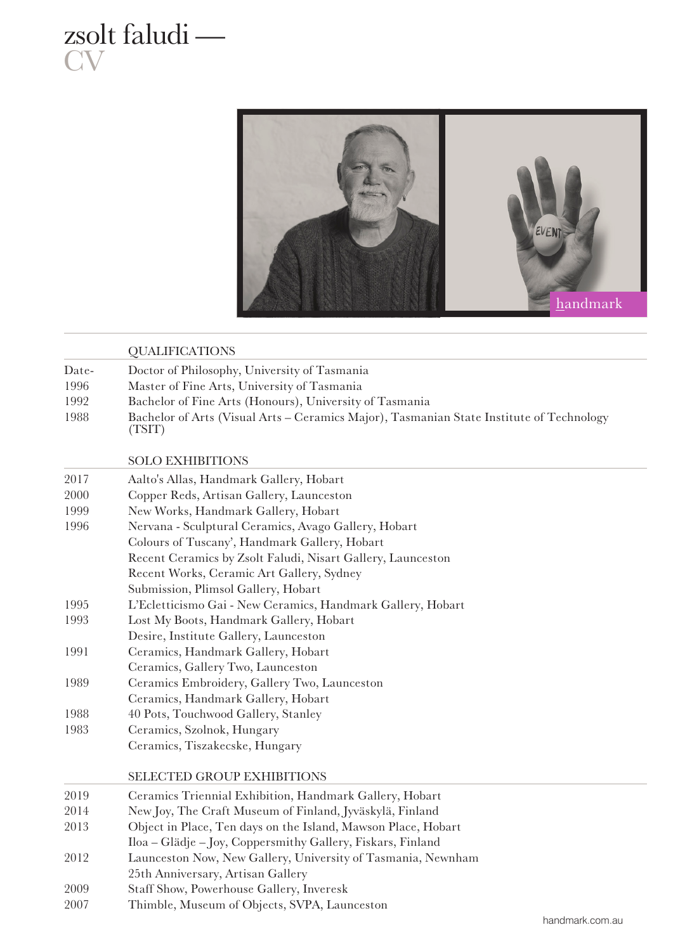



|       | <b>QUALIFICATIONS</b>                                                                              |  |  |  |  |
|-------|----------------------------------------------------------------------------------------------------|--|--|--|--|
| Date- | Doctor of Philosophy, University of Tasmania                                                       |  |  |  |  |
| 1996  | Master of Fine Arts, University of Tasmania                                                        |  |  |  |  |
| 1992  | Bachelor of Fine Arts (Honours), University of Tasmania                                            |  |  |  |  |
| 1988  | Bachelor of Arts (Visual Arts - Ceramics Major), Tasmanian State Institute of Technology<br>(TSIT) |  |  |  |  |
|       | <b>SOLO EXHIBITIONS</b>                                                                            |  |  |  |  |
| 2017  | Aalto's Allas, Handmark Gallery, Hobart                                                            |  |  |  |  |
| 2000  | Copper Reds, Artisan Gallery, Launceston                                                           |  |  |  |  |
| 1999  | New Works, Handmark Gallery, Hobart                                                                |  |  |  |  |
| 1996  | Nervana - Sculptural Ceramics, Avago Gallery, Hobart                                               |  |  |  |  |
|       | Colours of Tuscany', Handmark Gallery, Hobart                                                      |  |  |  |  |
|       | Recent Ceramics by Zsolt Faludi, Nisart Gallery, Launceston                                        |  |  |  |  |
|       | Recent Works, Ceramic Art Gallery, Sydney                                                          |  |  |  |  |
|       | Submission, Plimsol Gallery, Hobart                                                                |  |  |  |  |
| 1995  | L'Ecletticismo Gai - New Ceramics, Handmark Gallery, Hobart                                        |  |  |  |  |
| 1993  | Lost My Boots, Handmark Gallery, Hobart                                                            |  |  |  |  |
|       | Desire, Institute Gallery, Launceston                                                              |  |  |  |  |
| 1991  | Ceramics, Handmark Gallery, Hobart                                                                 |  |  |  |  |
|       | Ceramics, Gallery Two, Launceston                                                                  |  |  |  |  |
| 1989  | Ceramics Embroidery, Gallery Two, Launceston                                                       |  |  |  |  |
|       | Ceramics, Handmark Gallery, Hobart                                                                 |  |  |  |  |
| 1988  | 40 Pots, Touchwood Gallery, Stanley                                                                |  |  |  |  |
| 1983  | Ceramics, Szolnok, Hungary                                                                         |  |  |  |  |
|       | Ceramics, Tiszakecske, Hungary                                                                     |  |  |  |  |
|       | <b>SELECTED GROUP EXHIBITIONS</b>                                                                  |  |  |  |  |
| 2019  | Ceramics Triennial Exhibition, Handmark Gallery, Hobart                                            |  |  |  |  |
| 2014  | New Joy, The Craft Museum of Finland, Jyväskylä, Finland                                           |  |  |  |  |
| 2013  | Object in Place, Ten days on the Island, Mawson Place, Hobart                                      |  |  |  |  |
|       | Iloa - Glädje - Joy, Coppersmithy Gallery, Fiskars, Finland                                        |  |  |  |  |
| 2012  | Launceston Now, New Gallery, University of Tasmania, Newnham                                       |  |  |  |  |
|       | 25th Anniversary, Artisan Gallery                                                                  |  |  |  |  |
| 2009  | Staff Show, Powerhouse Gallery, Inveresk                                                           |  |  |  |  |
| 2007  | Thimble, Museum of Objects, SVPA, Launceston                                                       |  |  |  |  |
|       | handmark.com.au                                                                                    |  |  |  |  |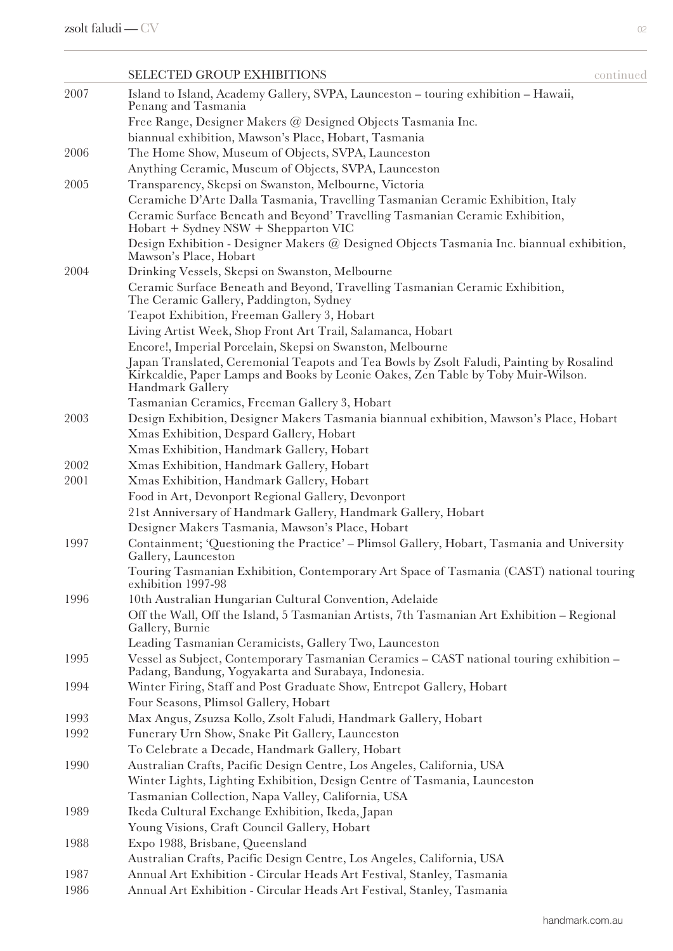| ٠ |   | ٠<br>× |  |
|---|---|--------|--|
|   | I |        |  |
|   |   |        |  |

|      | <b>SELECTED GROUP EXHIBITIONS</b>                                                                                                                                                                        | continued |
|------|----------------------------------------------------------------------------------------------------------------------------------------------------------------------------------------------------------|-----------|
| 2007 | Island to Island, Academy Gallery, SVPA, Launceston - touring exhibition - Hawaii,<br>Penang and Tasmania                                                                                                |           |
|      | Free Range, Designer Makers @ Designed Objects Tasmania Inc.                                                                                                                                             |           |
|      | biannual exhibition, Mawson's Place, Hobart, Tasmania                                                                                                                                                    |           |
| 2006 | The Home Show, Museum of Objects, SVPA, Launceston                                                                                                                                                       |           |
|      | Anything Ceramic, Museum of Objects, SVPA, Launceston                                                                                                                                                    |           |
| 2005 | Transparency, Skepsi on Swanston, Melbourne, Victoria                                                                                                                                                    |           |
|      | Ceramiche D'Arte Dalla Tasmania, Travelling Tasmanian Ceramic Exhibition, Italy                                                                                                                          |           |
|      | Ceramic Surface Beneath and Beyond' Travelling Tasmanian Ceramic Exhibition,<br>Hobart + Sydney NSW + Shepparton VIC                                                                                     |           |
|      | Design Exhibition - Designer Makers @ Designed Objects Tasmania Inc. biannual exhibition,<br>Mawson's Place, Hobart                                                                                      |           |
| 2004 | Drinking Vessels, Skepsi on Swanston, Melbourne                                                                                                                                                          |           |
|      | Ceramic Surface Beneath and Beyond, Travelling Tasmanian Ceramic Exhibition,<br>The Ceramic Gallery, Paddington, Sydney                                                                                  |           |
|      | Teapot Exhibition, Freeman Gallery 3, Hobart                                                                                                                                                             |           |
|      | Living Artist Week, Shop Front Art Trail, Salamanca, Hobart                                                                                                                                              |           |
|      | Encore!, Imperial Porcelain, Skepsi on Swanston, Melbourne                                                                                                                                               |           |
|      | Japan Translated, Ceremonial Teapots and Tea Bowls by Zsolt Faludi, Painting by Rosalind<br>Kirkcaldie, Paper Lamps and Books by Leonie Oakes, Zen Table by Toby Muir-Wilson.<br><b>Handmark Gallery</b> |           |
|      | Tasmanian Ceramics, Freeman Gallery 3, Hobart                                                                                                                                                            |           |
| 2003 | Design Exhibition, Designer Makers Tasmania biannual exhibition, Mawson's Place, Hobart                                                                                                                  |           |
|      | Xmas Exhibition, Despard Gallery, Hobart                                                                                                                                                                 |           |
|      | Xmas Exhibition, Handmark Gallery, Hobart                                                                                                                                                                |           |
| 2002 | Xmas Exhibition, Handmark Gallery, Hobart                                                                                                                                                                |           |
| 2001 | Xmas Exhibition, Handmark Gallery, Hobart                                                                                                                                                                |           |
|      | Food in Art, Devonport Regional Gallery, Devonport                                                                                                                                                       |           |
|      | 21st Anniversary of Handmark Gallery, Handmark Gallery, Hobart                                                                                                                                           |           |
|      | Designer Makers Tasmania, Mawson's Place, Hobart                                                                                                                                                         |           |
| 1997 | Containment; 'Questioning the Practice' - Plimsol Gallery, Hobart, Tasmania and University<br>Gallery, Launceston                                                                                        |           |
|      | Touring Tasmanian Exhibition, Contemporary Art Space of Tasmania (CAST) national touring<br>exhibition 1997-98                                                                                           |           |
| 1996 | 10th Australian Hungarian Cultural Convention, Adelaide                                                                                                                                                  |           |
|      | Off the Wall, Off the Island, 5 Tasmanian Artists, 7th Tasmanian Art Exhibition - Regional<br>Gallery, Burnie                                                                                            |           |
|      | Leading Tasmanian Ceramicists, Gallery Two, Launceston                                                                                                                                                   |           |
| 1995 | Vessel as Subject, Contemporary Tasmanian Ceramics - CAST national touring exhibition -<br>Padang, Bandung, Yogyakarta and Surabaya, Indonesia.                                                          |           |
| 1994 | Winter Firing, Staff and Post Graduate Show, Entrepot Gallery, Hobart                                                                                                                                    |           |
|      | Four Seasons, Plimsol Gallery, Hobart                                                                                                                                                                    |           |
| 1993 | Max Angus, Zsuzsa Kollo, Zsolt Faludi, Handmark Gallery, Hobart                                                                                                                                          |           |
| 1992 | Funerary Urn Show, Snake Pit Gallery, Launceston<br>To Celebrate a Decade, Handmark Gallery, Hobart                                                                                                      |           |
| 1990 | Australian Crafts, Pacific Design Centre, Los Angeles, California, USA                                                                                                                                   |           |
|      | Winter Lights, Lighting Exhibition, Design Centre of Tasmania, Launceston                                                                                                                                |           |
|      | Tasmanian Collection, Napa Valley, California, USA                                                                                                                                                       |           |
| 1989 | Ikeda Cultural Exchange Exhibition, Ikeda, Japan                                                                                                                                                         |           |
|      | Young Visions, Craft Council Gallery, Hobart                                                                                                                                                             |           |
| 1988 | Expo 1988, Brisbane, Queensland                                                                                                                                                                          |           |
|      | Australian Crafts, Pacific Design Centre, Los Angeles, California, USA                                                                                                                                   |           |
| 1987 | Annual Art Exhibition - Circular Heads Art Festival, Stanley, Tasmania                                                                                                                                   |           |
| 1986 | Annual Art Exhibition - Circular Heads Art Festival, Stanley, Tasmania                                                                                                                                   |           |